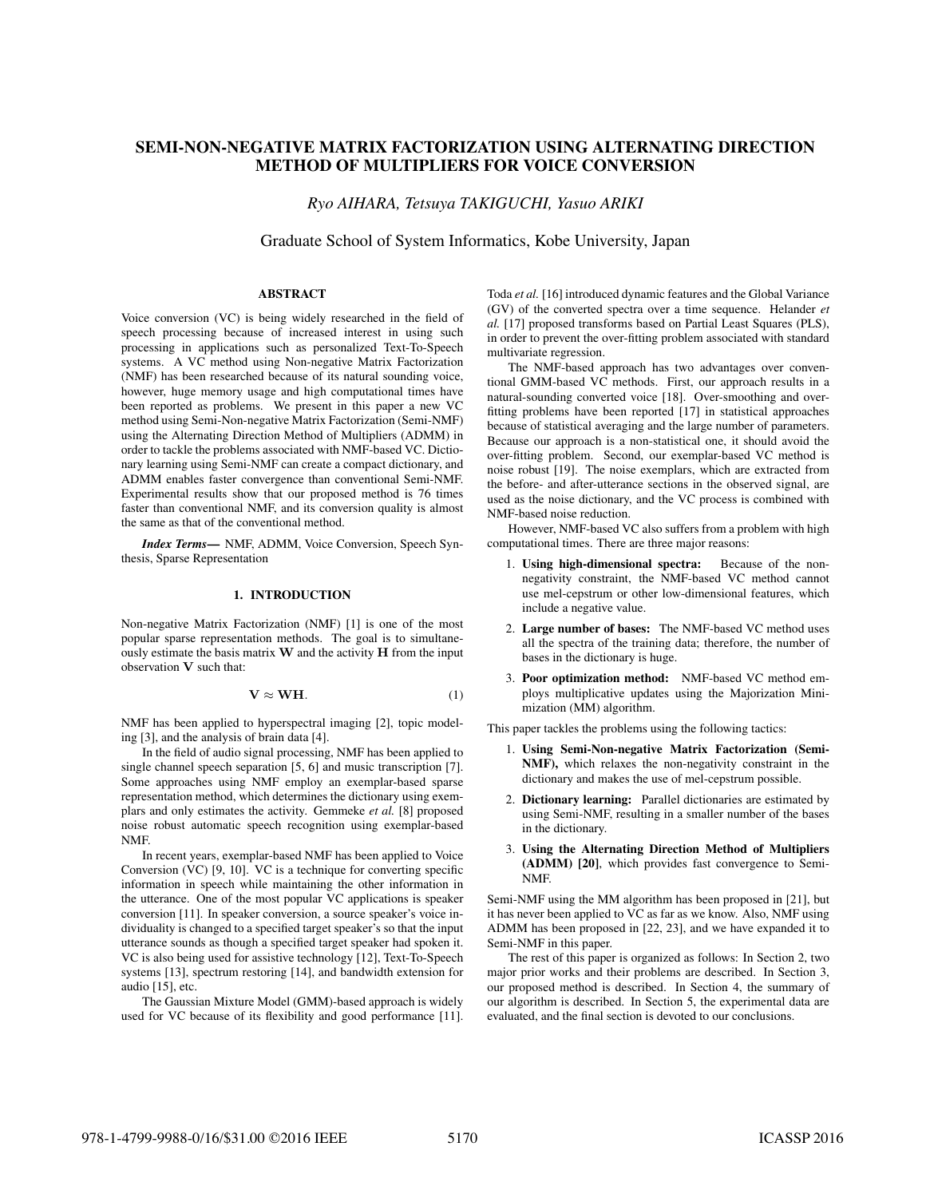# SEMI-NON-NEGATIVE MATRIX FACTORIZATION USING ALTERNATING DIRECTION METHOD OF MULTIPLIERS FOR VOICE CONVERSION

*Ryo AIHARA, Tetsuya TAKIGUCHI, Yasuo ARIKI*

Graduate School of System Informatics, Kobe University, Japan

## ABSTRACT

Voice conversion (VC) is being widely researched in the field of speech processing because of increased interest in using such processing in applications such as personalized Text-To-Speech systems. A VC method using Non-negative Matrix Factorization (NMF) has been researched because of its natural sounding voice, however, huge memory usage and high computational times have been reported as problems. We present in this paper a new VC method using Semi-Non-negative Matrix Factorization (Semi-NMF) using the Alternating Direction Method of Multipliers (ADMM) in order to tackle the problems associated with NMF-based VC. Dictionary learning using Semi-NMF can create a compact dictionary, and ADMM enables faster convergence than conventional Semi-NMF. Experimental results show that our proposed method is 76 times faster than conventional NMF, and its conversion quality is almost the same as that of the conventional method.

*Index Terms*— NMF, ADMM, Voice Conversion, Speech Synthesis, Sparse Representation

#### 1. INTRODUCTION

Non-negative Matrix Factorization (NMF) [1] is one of the most popular sparse representation methods. The goal is to simultaneously estimate the basis matrix **W** and the activity **H** from the input observation **V** such that:

$$
\mathbf{V} \approx \mathbf{W} \mathbf{H}.\tag{1}
$$

NMF has been applied to hyperspectral imaging [2], topic modeling [3], and the analysis of brain data [4].

In the field of audio signal processing, NMF has been applied to single channel speech separation [5, 6] and music transcription [7]. Some approaches using NMF employ an exemplar-based sparse representation method, which determines the dictionary using exemplars and only estimates the activity. Gemmeke *et al.* [8] proposed noise robust automatic speech recognition using exemplar-based NMF.

In recent years, exemplar-based NMF has been applied to Voice Conversion (VC) [9, 10]. VC is a technique for converting specific information in speech while maintaining the other information in the utterance. One of the most popular VC applications is speaker conversion [11]. In speaker conversion, a source speaker's voice individuality is changed to a specified target speaker's so that the input utterance sounds as though a specified target speaker had spoken it. VC is also being used for assistive technology [12], Text-To-Speech systems [13], spectrum restoring [14], and bandwidth extension for audio [15], etc.

The Gaussian Mixture Model (GMM)-based approach is widely used for VC because of its flexibility and good performance [11].

Toda *et al.* [16] introduced dynamic features and the Global Variance (GV) of the converted spectra over a time sequence. Helander *et al.* [17] proposed transforms based on Partial Least Squares (PLS), in order to prevent the over-fitting problem associated with standard multivariate regression.

The NMF-based approach has two advantages over conventional GMM-based VC methods. First, our approach results in a natural-sounding converted voice [18]. Over-smoothing and overfitting problems have been reported [17] in statistical approaches because of statistical averaging and the large number of parameters. Because our approach is a non-statistical one, it should avoid the over-fitting problem. Second, our exemplar-based VC method is noise robust [19]. The noise exemplars, which are extracted from the before- and after-utterance sections in the observed signal, are used as the noise dictionary, and the VC process is combined with NMF-based noise reduction.

However, NMF-based VC also suffers from a problem with high computational times. There are three major reasons:

- 1. Using high-dimensional spectra: Because of the nonnegativity constraint, the NMF-based VC method cannot use mel-cepstrum or other low-dimensional features, which include a negative value.
- 2. Large number of bases: The NMF-based VC method uses all the spectra of the training data; therefore, the number of bases in the dictionary is huge.
- 3. Poor optimization method: NMF-based VC method employs multiplicative updates using the Majorization Minimization (MM) algorithm.

This paper tackles the problems using the following tactics:

- 1. Using Semi-Non-negative Matrix Factorization (Semi-NMF), which relaxes the non-negativity constraint in the dictionary and makes the use of mel-cepstrum possible.
- 2. Dictionary learning: Parallel dictionaries are estimated by using Semi-NMF, resulting in a smaller number of the bases in the dictionary.
- 3. Using the Alternating Direction Method of Multipliers (ADMM) [20], which provides fast convergence to Semi-NMF.

Semi-NMF using the MM algorithm has been proposed in [21], but it has never been applied to VC as far as we know. Also, NMF using ADMM has been proposed in [22, 23], and we have expanded it to Semi-NMF in this paper.

The rest of this paper is organized as follows: In Section 2, two major prior works and their problems are described. In Section 3, our proposed method is described. In Section 4, the summary of our algorithm is described. In Section 5, the experimental data are evaluated, and the final section is devoted to our conclusions.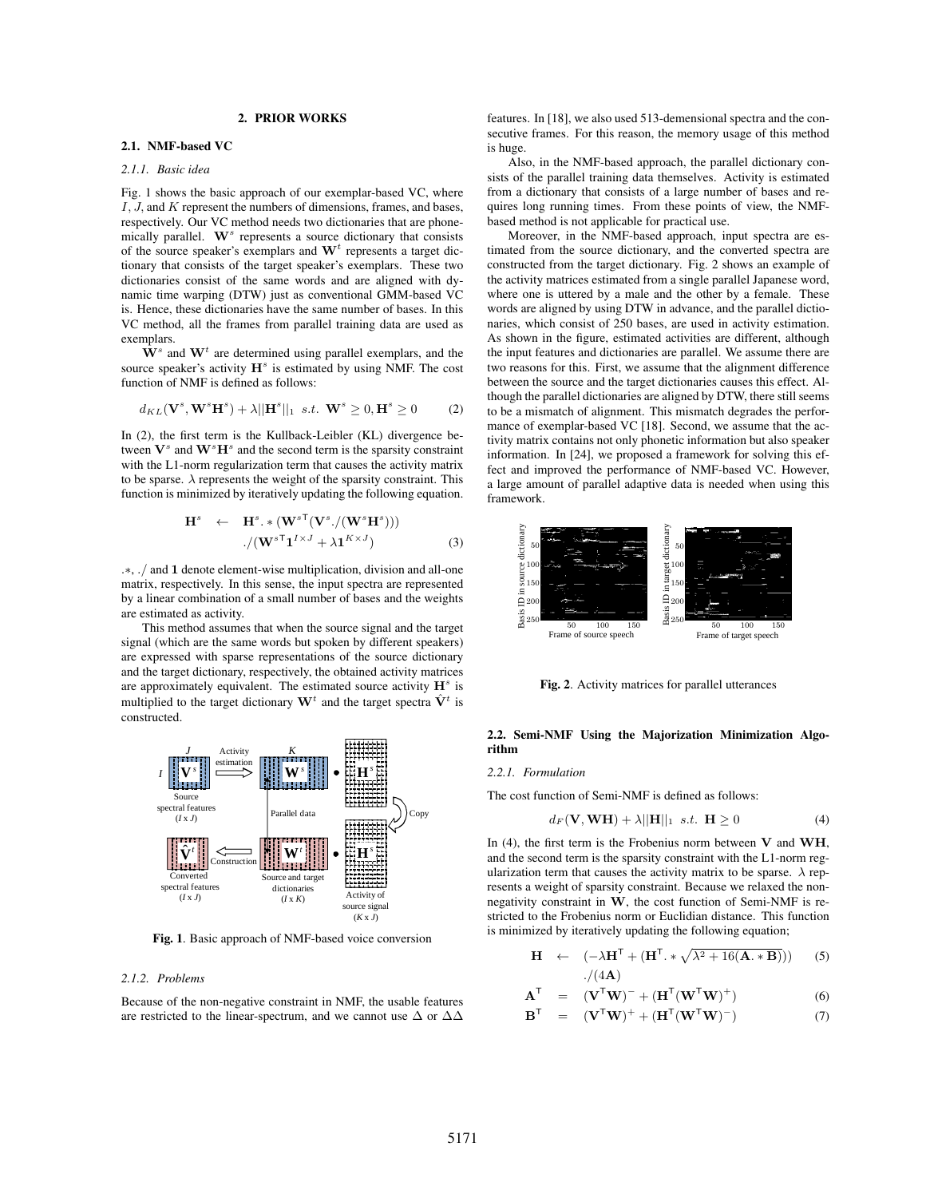# 2. PRIOR WORKS

#### 2.1. NMF-based VC

# *2.1.1. Basic idea*

Fig. 1 shows the basic approach of our exemplar-based VC, where *I, J,* and *K* represent the numbers of dimensions, frames, and bases, respectively. Our VC method needs two dictionaries that are phonemically parallel. **W***<sup>s</sup>* represents a source dictionary that consists of the source speaker's exemplars and **W***<sup>t</sup>* represents a target dictionary that consists of the target speaker's exemplars. These two dictionaries consist of the same words and are aligned with dynamic time warping (DTW) just as conventional GMM-based VC is. Hence, these dictionaries have the same number of bases. In this VC method, all the frames from parallel training data are used as exemplars.

 $\mathbf{W}^s$  and  $\mathbf{W}^t$  are determined using parallel exemplars, and the source speaker's activity  $H<sup>s</sup>$  is estimated by using NMF. The cost function of NMF is defined as follows:

$$
d_{KL}(\mathbf{V}^s, \mathbf{W}^s \mathbf{H}^s) + \lambda ||\mathbf{H}^s||_1 \ \ s.t. \ \ \mathbf{W}^s \ge 0, \mathbf{H}^s \ge 0 \tag{2}
$$

In (2), the first term is the Kullback-Leibler (KL) divergence between  $V^s$  and  $W^sH^s$  and the second term is the sparsity constraint with the L1-norm regularization term that causes the activity matrix to be sparse.  $\lambda$  represents the weight of the sparsity constraint. This function is minimized by iteratively updating the following equation.

$$
\mathbf{H}^{s} \leftarrow \mathbf{H}^{s} \cdot * (\mathbf{W}^{s}{}^{T}(\mathbf{V}^{s}./(\mathbf{W}^{s}\mathbf{H}^{s}))) \n/(\mathbf{W}^{s}{}^{T}\mathbf{1}^{I\times J} + \lambda \mathbf{1}^{K\times J})
$$
\n(3)

*.∗*, *./* and **1** denote element-wise multiplication, division and all-one matrix, respectively. In this sense, the input spectra are represented by a linear combination of a small number of bases and the weights are estimated as activity.

This method assumes that when the source signal and the target signal (which are the same words but spoken by different speakers) are expressed with sparse representations of the source dictionary and the target dictionary, respectively, the obtained activity matrices are approximately equivalent. The estimated source activity **H***<sup>s</sup>* is multiplied to the target dictionary  $\mathbf{W}^t$  and the target spectra  $\hat{\mathbf{V}}^t$  is constructed.



Fig. 1. Basic approach of NMF-based voice conversion

#### *2.1.2. Problems*

Because of the non-negative constraint in NMF, the usable features are restricted to the linear-spectrum, and we cannot use  $\Delta$  or  $\Delta\Delta$  features. In [18], we also used 513-demensional spectra and the consecutive frames. For this reason, the memory usage of this method is huge.

Also, in the NMF-based approach, the parallel dictionary consists of the parallel training data themselves. Activity is estimated from a dictionary that consists of a large number of bases and requires long running times. From these points of view, the NMFbased method is not applicable for practical use.

Moreover, in the NMF-based approach, input spectra are estimated from the source dictionary, and the converted spectra are constructed from the target dictionary. Fig. 2 shows an example of the activity matrices estimated from a single parallel Japanese word, where one is uttered by a male and the other by a female. These words are aligned by using DTW in advance, and the parallel dictionaries, which consist of 250 bases, are used in activity estimation. As shown in the figure, estimated activities are different, although the input features and dictionaries are parallel. We assume there are two reasons for this. First, we assume that the alignment difference between the source and the target dictionaries causes this effect. Although the parallel dictionaries are aligned by DTW, there still seems to be a mismatch of alignment. This mismatch degrades the performance of exemplar-based VC [18]. Second, we assume that the activity matrix contains not only phonetic information but also speaker information. In [24], we proposed a framework for solving this effect and improved the performance of NMF-based VC. However, a large amount of parallel adaptive data is needed when using this framework.



Fig. 2. Activity matrices for parallel utterances

# 2.2. Semi-NMF Using the Majorization Minimization Algorithm

# *2.2.1. Formulation*

**A**

The cost function of Semi-NMF is defined as follows:

$$
d_F(\mathbf{V}, \mathbf{WH}) + \lambda ||\mathbf{H}||_1 \ \ s.t. \ \ \mathbf{H} \ge 0 \tag{4}
$$

In (4), the first term is the Frobenius norm between **V** and **WH**, and the second term is the sparsity constraint with the L1-norm regularization term that causes the activity matrix to be sparse.  $\lambda$  represents a weight of sparsity constraint. Because we relaxed the nonnegativity constraint in **W**, the cost function of Semi-NMF is restricted to the Frobenius norm or Euclidian distance. This function is minimized by iteratively updating the following equation;

$$
\mathbf{H} \leftarrow (-\lambda \mathbf{H}^{\mathsf{T}} + (\mathbf{H}^{\mathsf{T}} \cdot * \sqrt{\lambda^2 + 16(\mathbf{A} \cdot * \mathbf{B})})) \qquad (5)
$$
  
 
$$
./(4\mathbf{A})
$$

$$
\mathbf{L}^{\mathsf{T}} = (\mathbf{V}^{\mathsf{T}}\mathbf{W})^{-} + (\mathbf{H}^{\mathsf{T}}(\mathbf{W}^{\mathsf{T}}\mathbf{W})^{+})
$$
(6)

$$
\mathbf{B}^{\mathsf{T}} = (\mathbf{V}^{\mathsf{T}}\mathbf{W})^{+} + (\mathbf{H}^{\mathsf{T}}(\mathbf{W}^{\mathsf{T}}\mathbf{W})^{-})
$$
(7)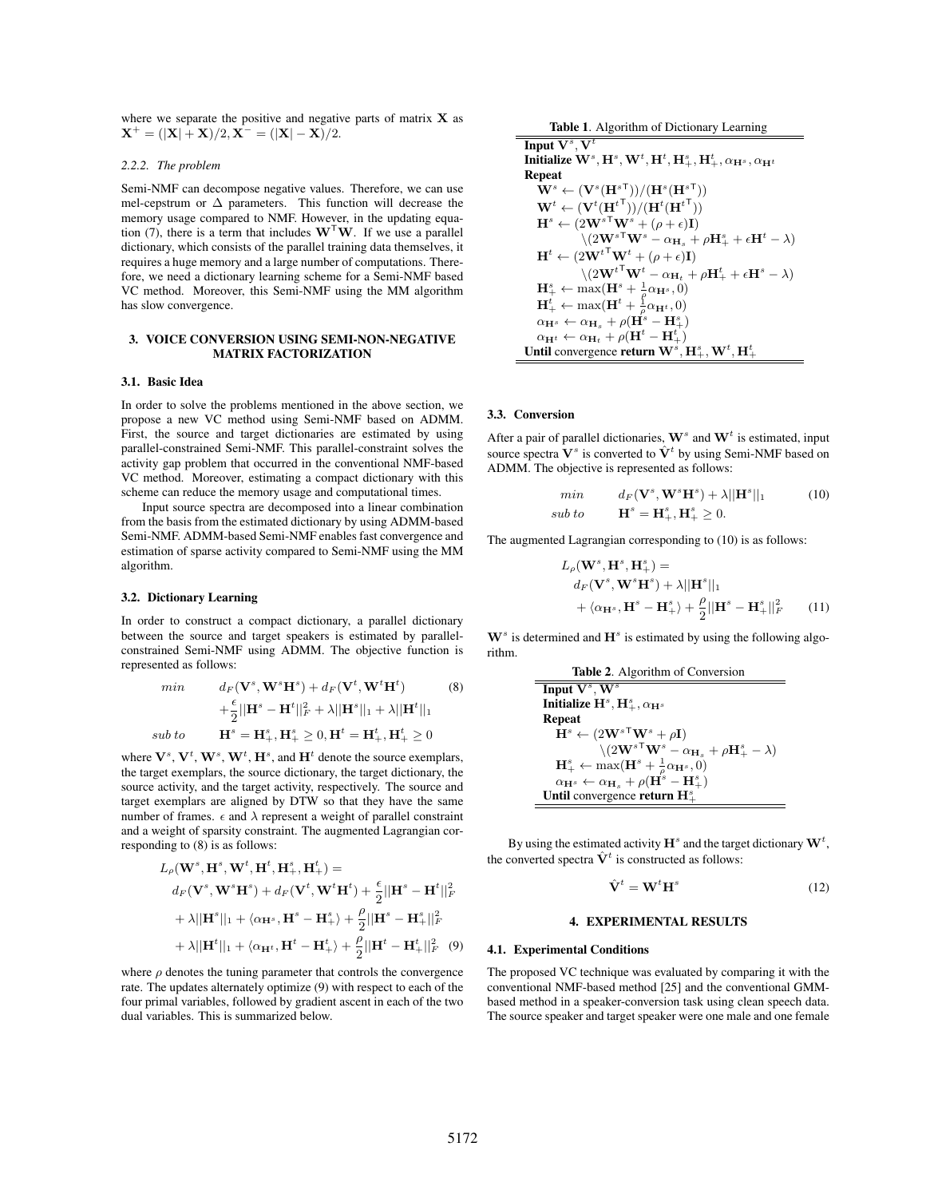where we separate the positive and negative parts of matrix **X** as  $X^+ = (|X| + X)/2, X^- = (|X| - X)/2.$ 

#### *2.2.2. The problem*

Semi-NMF can decompose negative values. Therefore, we can use mel-cepstrum or  $\Delta$  parameters. This function will decrease the memory usage compared to NMF. However, in the updating equation (7), there is a term that includes  $W<sup>T</sup>W$ . If we use a parallel dictionary, which consists of the parallel training data themselves, it requires a huge memory and a large number of computations. Therefore, we need a dictionary learning scheme for a Semi-NMF based VC method. Moreover, this Semi-NMF using the MM algorithm has slow convergence.

## 3. VOICE CONVERSION USING SEMI-NON-NEGATIVE MATRIX FACTORIZATION

#### 3.1. Basic Idea

In order to solve the problems mentioned in the above section, we propose a new VC method using Semi-NMF based on ADMM. First, the source and target dictionaries are estimated by using parallel-constrained Semi-NMF. This parallel-constraint solves the activity gap problem that occurred in the conventional NMF-based VC method. Moreover, estimating a compact dictionary with this scheme can reduce the memory usage and computational times.

Input source spectra are decomposed into a linear combination from the basis from the estimated dictionary by using ADMM-based Semi-NMF. ADMM-based Semi-NMF enables fast convergence and estimation of sparse activity compared to Semi-NMF using the MM algorithm.

### 3.2. Dictionary Learning

In order to construct a compact dictionary, a parallel dictionary between the source and target speakers is estimated by parallelconstrained Semi-NMF using ADMM. The objective function is represented as follows:

min  
\n
$$
d_F(\mathbf{V}^s, \mathbf{W}^s \mathbf{H}^s) + d_F(\mathbf{V}^t, \mathbf{W}^t \mathbf{H}^t)
$$
\n
$$
+ \frac{\epsilon}{2} ||\mathbf{H}^s - \mathbf{H}^t||_F^2 + \lambda ||\mathbf{H}^s||_1 + \lambda ||\mathbf{H}^t||_1
$$
\n*sub to*  
\n
$$
\mathbf{H}^s = \mathbf{H}^s_+, \mathbf{H}^s_+ \ge 0, \mathbf{H}^t = \mathbf{H}^t_+, \mathbf{H}^t_+ \ge 0
$$

where  $V^s$ ,  $V^t$ ,  $W^s$ ,  $W^t$ ,  $H^s$ , and  $H^t$  denote the source exemplars, the target exemplars, the source dictionary, the target dictionary, the source activity, and the target activity, respectively. The source and target exemplars are aligned by DTW so that they have the same number of frames.  $\epsilon$  and  $\lambda$  represent a weight of parallel constraint and a weight of sparsity constraint. The augmented Lagrangian corresponding to (8) is as follows:

$$
L_{\rho}(\mathbf{W}^{s}, \mathbf{H}^{s}, \mathbf{W}^{t}, \mathbf{H}^{t}, \mathbf{H}^{s}_{+}, \mathbf{H}^{t}_{+}) =
$$
  
\n
$$
d_{F}(\mathbf{V}^{s}, \mathbf{W}^{s} \mathbf{H}^{s}) + d_{F}(\mathbf{V}^{t}, \mathbf{W}^{t} \mathbf{H}^{t}) + \frac{\epsilon}{2} ||\mathbf{H}^{s} - \mathbf{H}^{t}||_{F}^{2}
$$
  
\n
$$
+ \lambda ||\mathbf{H}^{s}||_{1} + \langle \alpha_{\mathbf{H}^{s}}, \mathbf{H}^{s} - \mathbf{H}^{s}_{+} \rangle + \frac{\rho}{2} ||\mathbf{H}^{s} - \mathbf{H}^{s}_{+}||_{F}^{2}
$$
  
\n
$$
+ \lambda ||\mathbf{H}^{t}||_{1} + \langle \alpha_{\mathbf{H}^{t}}, \mathbf{H}^{t} - \mathbf{H}^{t}_{+} \rangle + \frac{\rho}{2} ||\mathbf{H}^{t} - \mathbf{H}^{t}_{+}||_{F}^{2} (9)
$$

where  $\rho$  denotes the tuning parameter that controls the convergence rate. The updates alternately optimize (9) with respect to each of the four primal variables, followed by gradient ascent in each of the two dual variables. This is summarized below.

Table 1. Algorithm of Dictionary Learning

Input  $V^s$ ,  $V^t$  $\mathbf{M}^t$  **Initialize**  $\mathbf{W}^s, \mathbf{H}^s, \mathbf{W}^t, \mathbf{H}^t, \mathbf{H}^s_+, \mathbf{H}^t_+, \alpha_{\mathbf{H}^s}, \alpha_{\mathbf{H}^t}$ Repeat  $\mathbf{W}^s \leftarrow (\mathbf{V}^s (\mathbf{H}^{s\mathsf{T}}_s))/(\mathbf{H}^s (\mathbf{H}^{s\mathsf{T}}_s))$  $\mathbf{W}^{t} \leftarrow (\mathbf{V}^{t}(\mathbf{H}^{t^{\mathsf{T}}})) / (\mathbf{H}^{t}(\mathbf{H}^{t^{\mathsf{T}}}))$  $\mathbf{H}^s \leftarrow (2\mathbf{W}^{s\top}\mathbf{W}^s + (\rho + \epsilon)\mathbf{I})$  $\sqrt{(2\mathbf{W}^s)^{\mathsf{T}}\mathbf{W}^s - \alpha_{\mathbf{H}_s} + \rho \mathbf{H}^s_+ + \epsilon \mathbf{H}^t - \lambda)}$  $\mathbf{H}^t \leftarrow (2\mathbf{W}^{t} + \mathbf{W}^t + (\rho + \epsilon)\mathbf{I})$  $\sqrt{(2\mathbf{W}^t\mathbf{W}^t - \alpha_{\mathbf{H}_t} + \rho\mathbf{H}^t + \epsilon\mathbf{H}^s - \lambda)}$  $\mathbf{H}^s_+ \leftarrow \max(\mathbf{H}^s + \frac{1}{\rho} \alpha_{\mathbf{H}^s}, 0)$  $\mathbf{H}^t_+ \leftarrow \max(\mathbf{H}^t + \frac{1}{\rho} \alpha_{\mathbf{H}^t}, 0)$  $\alpha_{\mathbf{H}^s} \leftarrow \alpha_{\mathbf{H}_s} + \rho(\mathbf{H}^s - \mathbf{H}^s_+)$  $\alpha_{\mathbf{H}^t} \leftarrow \alpha_{\mathbf{H}_t} + \rho(\mathbf{H}^t - \mathbf{H}^t_+)$ Until convergence return  $W^s$ ,  $H^s_+$ ,  $W^t$ ,  $H^t_+$ 

### 3.3. Conversion

After a pair of parallel dictionaries,  $\mathbf{W}^s$  and  $\mathbf{W}^t$  is estimated, input source spectra  $V^s$  is converted to  $\hat{V}^t$  by using Semi-NMF based on ADMM. The objective is represented as follows:

$$
\begin{aligned}\n\min & d_F(\mathbf{V}^s, \mathbf{W}^s \mathbf{H}^s) + \lambda ||\mathbf{H}^s||_1 \quad (10) \\
\text{sub to} & \mathbf{H}^s = \mathbf{H}^s_+, \mathbf{H}^s_+ \ge 0.\n\end{aligned}
$$

The augmented Lagrangian corresponding to (10) is as follows:

$$
L_{\rho}(\mathbf{W}^{s}, \mathbf{H}^{s}, \mathbf{H}^{s}_{+}) =
$$
  
\n
$$
d_{F}(\mathbf{V}^{s}, \mathbf{W}^{s} \mathbf{H}^{s}) + \lambda ||\mathbf{H}^{s}||_{1}
$$
  
\n
$$
+ \langle \alpha_{\mathbf{H}^{s}}, \mathbf{H}^{s} - \mathbf{H}^{s}_{+} \rangle + \frac{\rho}{2} ||\mathbf{H}^{s} - \mathbf{H}^{s}_{+}||_{F}^{2}
$$
 (11)

 $W^s$  is determined and  $H^s$  is estimated by using the following algorithm.

| Table 2. Algorithm of Conversion                                             |                                                                                                                                                                                                                                       |
|------------------------------------------------------------------------------|---------------------------------------------------------------------------------------------------------------------------------------------------------------------------------------------------------------------------------------|
| Input V <sup>s</sup> , W <sup>s</sup>                                        |                                                                                                                                                                                                                                       |
| Initialize H <sup>s</sup> , H <sup>s</sup> , \alpha <sub>H<sup>s</sup></sub> |                                                                                                                                                                                                                                       |
| Repeat                                                                       | $Hs \leftarrow (2WsTWs + \rho I)$ $\setminus (2WsTWs - \alpha_{H_s} + \rho Hs + \lambda)$ $Hs \leftarrow \max(Hs + \frac{1}{\rho}\alpha_{Hs, 0)$ $\alpha_{Hs} \leftarrow \alpha_{H_s} + \rho(Hs - Hs)$ $Until convergence return Hs+$ |

By using the estimated activity  $\mathbf{H}^s$  and the target dictionary  $\mathbf{W}^t$ , the converted spectra  $\hat{\mathbf{V}}^t$  is constructed as follows:

$$
\hat{\mathbf{V}}^t = \mathbf{W}^t \mathbf{H}^s \tag{12}
$$

### 4. EXPERIMENTAL RESULTS

#### 4.1. Experimental Conditions

The proposed VC technique was evaluated by comparing it with the conventional NMF-based method [25] and the conventional GMMbased method in a speaker-conversion task using clean speech data. The source speaker and target speaker were one male and one female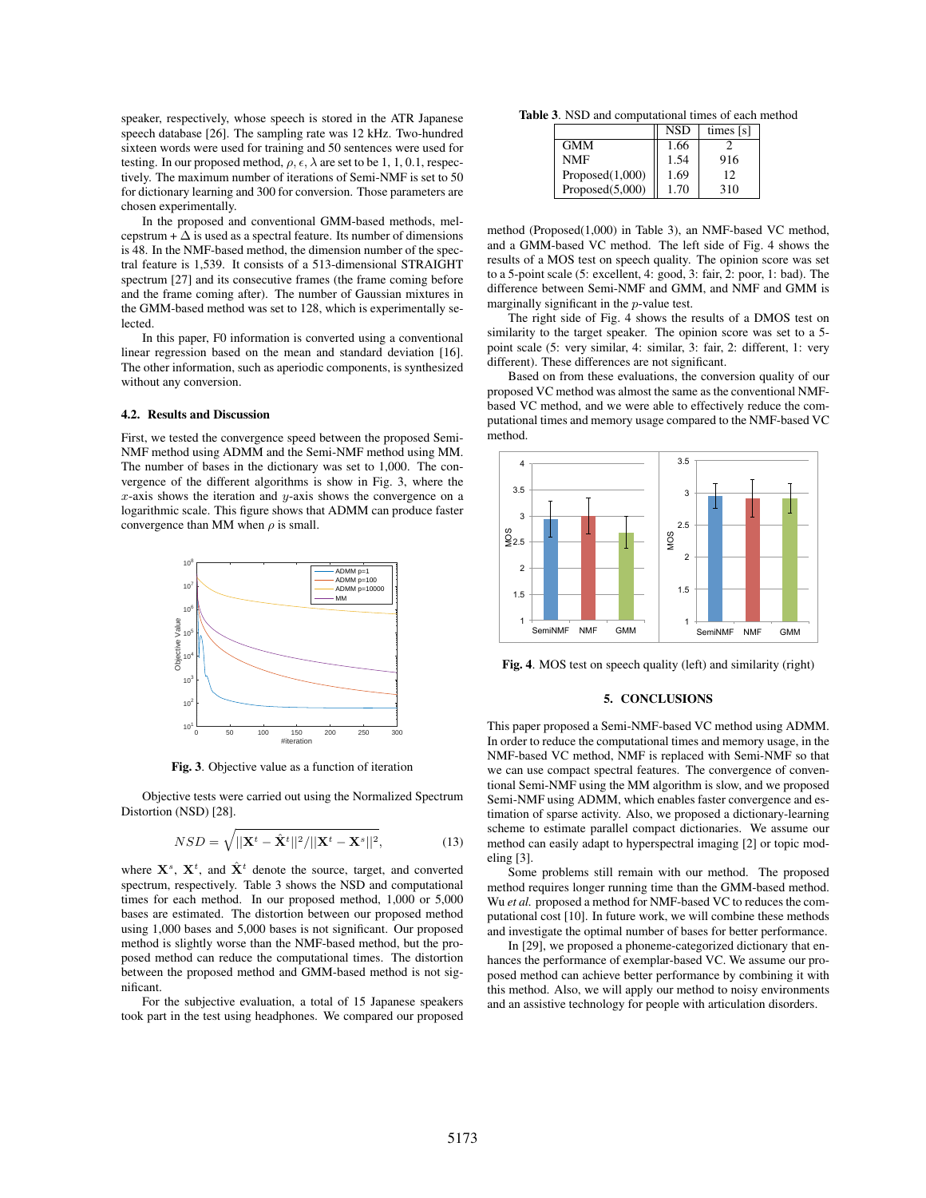speaker, respectively, whose speech is stored in the ATR Japanese speech database [26]. The sampling rate was 12 kHz. Two-hundred sixteen words were used for training and 50 sentences were used for testing. In our proposed method,  $\rho$ ,  $\epsilon$ ,  $\lambda$  are set to be 1, 1, 0.1, respectively. The maximum number of iterations of Semi-NMF is set to 50 for dictionary learning and 300 for conversion. Those parameters are chosen experimentally.

In the proposed and conventional GMM-based methods, melcepstrum +  $\Delta$  is used as a spectral feature. Its number of dimensions is 48. In the NMF-based method, the dimension number of the spectral feature is 1,539. It consists of a 513-dimensional STRAIGHT spectrum [27] and its consecutive frames (the frame coming before and the frame coming after). The number of Gaussian mixtures in the GMM-based method was set to 128, which is experimentally selected.

In this paper, F0 information is converted using a conventional linear regression based on the mean and standard deviation [16]. The other information, such as aperiodic components, is synthesized without any conversion.

# 4.2. Results and Discussion

First, we tested the convergence speed between the proposed Semi-NMF method using ADMM and the Semi-NMF method using MM. The number of bases in the dictionary was set to 1,000. The convergence of the different algorithms is show in Fig. 3, where the *x*-axis shows the iteration and *y*-axis shows the convergence on a logarithmic scale. This figure shows that ADMM can produce faster convergence than MM when  $\rho$  is small.



Fig. 3. Objective value as a function of iteration

Objective tests were carried out using the Normalized Spectrum Distortion (NSD) [28].

$$
NSD = \sqrt{||\mathbf{X}^t - \hat{\mathbf{X}}^t||^2/||\mathbf{X}^t - \mathbf{X}^s||^2},
$$
\n(13)

where  $X^s$ ,  $X^t$ , and  $\hat{X}^t$  denote the source, target, and converted spectrum, respectively. Table 3 shows the NSD and computational times for each method. In our proposed method, 1,000 or 5,000 bases are estimated. The distortion between our proposed method using 1,000 bases and 5,000 bases is not significant. Our proposed method is slightly worse than the NMF-based method, but the proposed method can reduce the computational times. The distortion between the proposed method and GMM-based method is not significant.

For the subjective evaluation, a total of 15 Japanese speakers took part in the test using headphones. We compared our proposed

Table 3. NSD and computational times of each method

|                    | <b>NSD</b> | times [s] |
|--------------------|------------|-----------|
| <b>GMM</b>         | 1.66       |           |
| <b>NMF</b>         | 1.54       | 916       |
| Proposed(1,000)    | 1.69       | 12        |
| Proposed $(5,000)$ | 1.70       | 310       |

method (Proposed(1,000) in Table 3), an NMF-based VC method, and a GMM-based VC method. The left side of Fig. 4 shows the results of a MOS test on speech quality. The opinion score was set to a 5-point scale (5: excellent, 4: good, 3: fair, 2: poor, 1: bad). The difference between Semi-NMF and GMM, and NMF and GMM is marginally significant in the *p*-value test.

The right side of Fig. 4 shows the results of a DMOS test on similarity to the target speaker. The opinion score was set to a 5 point scale (5: very similar, 4: similar, 3: fair, 2: different, 1: very different). These differences are not significant.

Based on from these evaluations, the conversion quality of our proposed VC method was almost the same as the conventional NMFbased VC method, and we were able to effectively reduce the computational times and memory usage compared to the NMF-based VC method.



Fig. 4. MOS test on speech quality (left) and similarity (right)

# 5. CONCLUSIONS

This paper proposed a Semi-NMF-based VC method using ADMM. In order to reduce the computational times and memory usage, in the NMF-based VC method, NMF is replaced with Semi-NMF so that we can use compact spectral features. The convergence of conventional Semi-NMF using the MM algorithm is slow, and we proposed Semi-NMF using ADMM, which enables faster convergence and estimation of sparse activity. Also, we proposed a dictionary-learning scheme to estimate parallel compact dictionaries. We assume our method can easily adapt to hyperspectral imaging [2] or topic modeling [3].

Some problems still remain with our method. The proposed method requires longer running time than the GMM-based method. Wu *et al.* proposed a method for NMF-based VC to reduces the computational cost [10]. In future work, we will combine these methods and investigate the optimal number of bases for better performance.

In [29], we proposed a phoneme-categorized dictionary that enhances the performance of exemplar-based VC. We assume our proposed method can achieve better performance by combining it with this method. Also, we will apply our method to noisy environments and an assistive technology for people with articulation disorders.